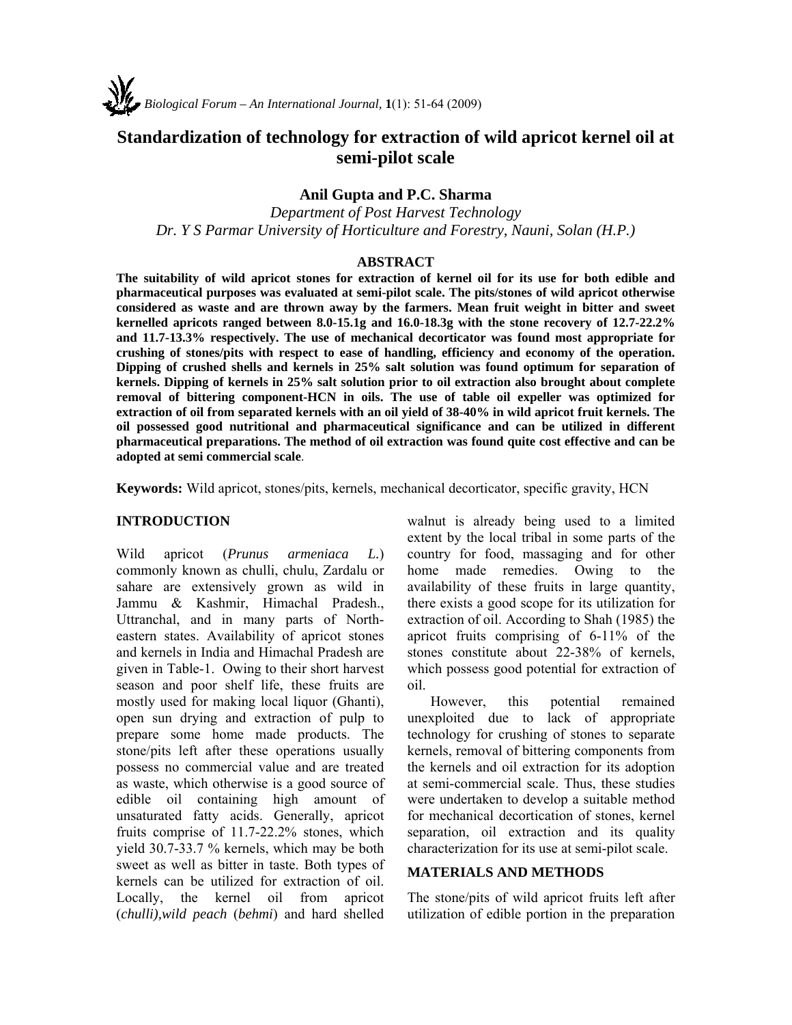# **Standardization of technology for extraction of wild apricot kernel oil at semi-pilot scale**

## **Anil Gupta and P.C. Sharma**

*Department of Post Harvest Technology Dr. Y S Parmar University of Horticulture and Forestry, Nauni, Solan (H.P.)* 

#### **ABSTRACT**

**The suitability of wild apricot stones for extraction of kernel oil for its use for both edible and pharmaceutical purposes was evaluated at semi-pilot scale. The pits/stones of wild apricot otherwise considered as waste and are thrown away by the farmers. Mean fruit weight in bitter and sweet kernelled apricots ranged between 8.0-15.1g and 16.0-18.3g with the stone recovery of 12.7-22.2% and 11.7-13.3% respectively. The use of mechanical decorticator was found most appropriate for crushing of stones/pits with respect to ease of handling, efficiency and economy of the operation. Dipping of crushed shells and kernels in 25% salt solution was found optimum for separation of kernels. Dipping of kernels in 25% salt solution prior to oil extraction also brought about complete removal of bittering component-HCN in oils. The use of table oil expeller was optimized for extraction of oil from separated kernels with an oil yield of 38-40% in wild apricot fruit kernels. The oil possessed good nutritional and pharmaceutical significance and can be utilized in different pharmaceutical preparations. The method of oil extraction was found quite cost effective and can be adopted at semi commercial scale**.

**Keywords:** Wild apricot, stones/pits, kernels, mechanical decorticator, specific gravity, HCN

#### **INTRODUCTION**

Wild apricot (*Prunus armeniaca L.*) commonly known as chulli, chulu, Zardalu or sahare are extensively grown as wild in Jammu & Kashmir, Himachal Pradesh., Uttranchal, and in many parts of Northeastern states. Availability of apricot stones and kernels in India and Himachal Pradesh are given in Table-1. Owing to their short harvest season and poor shelf life, these fruits are mostly used for making local liquor (Ghanti), open sun drying and extraction of pulp to prepare some home made products. The stone/pits left after these operations usually possess no commercial value and are treated as waste, which otherwise is a good source of edible oil containing high amount of unsaturated fatty acids. Generally, apricot fruits comprise of 11.7-22.2% stones, which yield 30.7-33.7 % kernels, which may be both sweet as well as bitter in taste. Both types of kernels can be utilized for extraction of oil. Locally, the kernel oil from apricot (*chulli),wild peach* (*behmi*) and hard shelled

walnut is already being used to a limited extent by the local tribal in some parts of the country for food, massaging and for other home made remedies. Owing to the availability of these fruits in large quantity, there exists a good scope for its utilization for extraction of oil. According to Shah (1985) the apricot fruits comprising of 6-11% of the stones constitute about 22-38% of kernels, which possess good potential for extraction of oil.

However, this potential remained unexploited due to lack of appropriate technology for crushing of stones to separate kernels, removal of bittering components from the kernels and oil extraction for its adoption at semi-commercial scale. Thus, these studies were undertaken to develop a suitable method for mechanical decortication of stones, kernel separation, oil extraction and its quality characterization for its use at semi-pilot scale.

#### **MATERIALS AND METHODS**

The stone/pits of wild apricot fruits left after utilization of edible portion in the preparation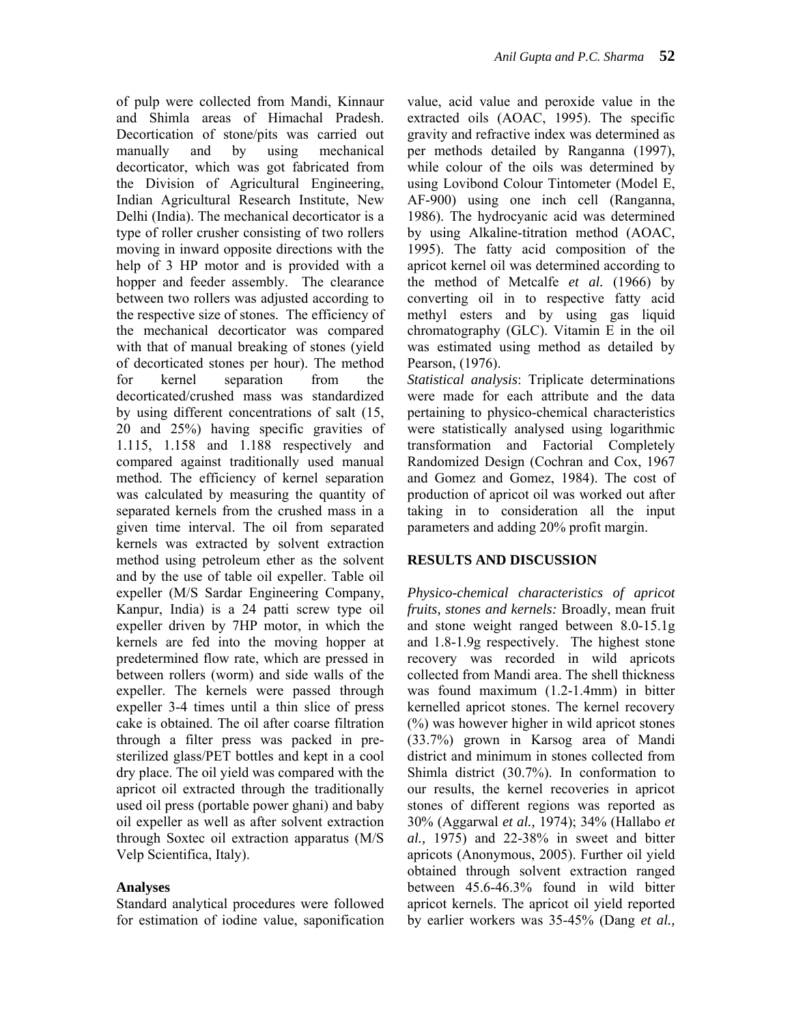of pulp were collected from Mandi, Kinnaur and Shimla areas of Himachal Pradesh. Decortication of stone/pits was carried out manually and by using mechanical decorticator, which was got fabricated from the Division of Agricultural Engineering, Indian Agricultural Research Institute, New Delhi (India). The mechanical decorticator is a type of roller crusher consisting of two rollers moving in inward opposite directions with the help of 3 HP motor and is provided with a hopper and feeder assembly. The clearance between two rollers was adjusted according to the respective size of stones. The efficiency of the mechanical decorticator was compared with that of manual breaking of stones (yield of decorticated stones per hour). The method for kernel separation from the decorticated/crushed mass was standardized by using different concentrations of salt (15, 20 and 25%) having specific gravities of 1.115, 1.158 and 1.188 respectively and compared against traditionally used manual method. The efficiency of kernel separation was calculated by measuring the quantity of separated kernels from the crushed mass in a given time interval. The oil from separated kernels was extracted by solvent extraction method using petroleum ether as the solvent and by the use of table oil expeller. Table oil expeller (M/S Sardar Engineering Company, Kanpur, India) is a 24 patti screw type oil expeller driven by 7HP motor, in which the kernels are fed into the moving hopper at predetermined flow rate, which are pressed in between rollers (worm) and side walls of the expeller. The kernels were passed through expeller 3-4 times until a thin slice of press cake is obtained. The oil after coarse filtration through a filter press was packed in presterilized glass/PET bottles and kept in a cool dry place. The oil yield was compared with the apricot oil extracted through the traditionally used oil press (portable power ghani) and baby oil expeller as well as after solvent extraction through Soxtec oil extraction apparatus (M/S Velp Scientifica, Italy).

## **Analyses**

Standard analytical procedures were followed for estimation of iodine value, saponification value, acid value and peroxide value in the extracted oils (AOAC, 1995). The specific gravity and refractive index was determined as per methods detailed by Ranganna (1997), while colour of the oils was determined by using Lovibond Colour Tintometer (Model E, AF-900) using one inch cell (Ranganna, 1986). The hydrocyanic acid was determined by using Alkaline-titration method (AOAC, 1995). The fatty acid composition of the apricot kernel oil was determined according to the method of Metcalfe *et al.* (1966) by converting oil in to respective fatty acid methyl esters and by using gas liquid chromatography (GLC). Vitamin E in the oil was estimated using method as detailed by Pearson, (1976).

*Statistical analysis*: Triplicate determinations were made for each attribute and the data pertaining to physico-chemical characteristics were statistically analysed using logarithmic transformation and Factorial Completely Randomized Design (Cochran and Cox, 1967 and Gomez and Gomez, 1984). The cost of production of apricot oil was worked out after taking in to consideration all the input parameters and adding 20% profit margin.

#### **RESULTS AND DISCUSSION**

*Physico-chemical characteristics of apricot fruits, stones and kernels:* Broadly, mean fruit and stone weight ranged between 8.0-15.1g and 1.8-1.9g respectively. The highest stone recovery was recorded in wild apricots collected from Mandi area. The shell thickness was found maximum (1.2-1.4mm) in bitter kernelled apricot stones. The kernel recovery (%) was however higher in wild apricot stones (33.7%) grown in Karsog area of Mandi district and minimum in stones collected from Shimla district (30.7%). In conformation to our results, the kernel recoveries in apricot stones of different regions was reported as 30% (Aggarwal *et al.,* 1974); 34% (Hallabo *et al.,* 1975) and 22-38% in sweet and bitter apricots (Anonymous, 2005). Further oil yield obtained through solvent extraction ranged between 45.6-46.3% found in wild bitter apricot kernels. The apricot oil yield reported by earlier workers was 35-45% (Dang *et al.,*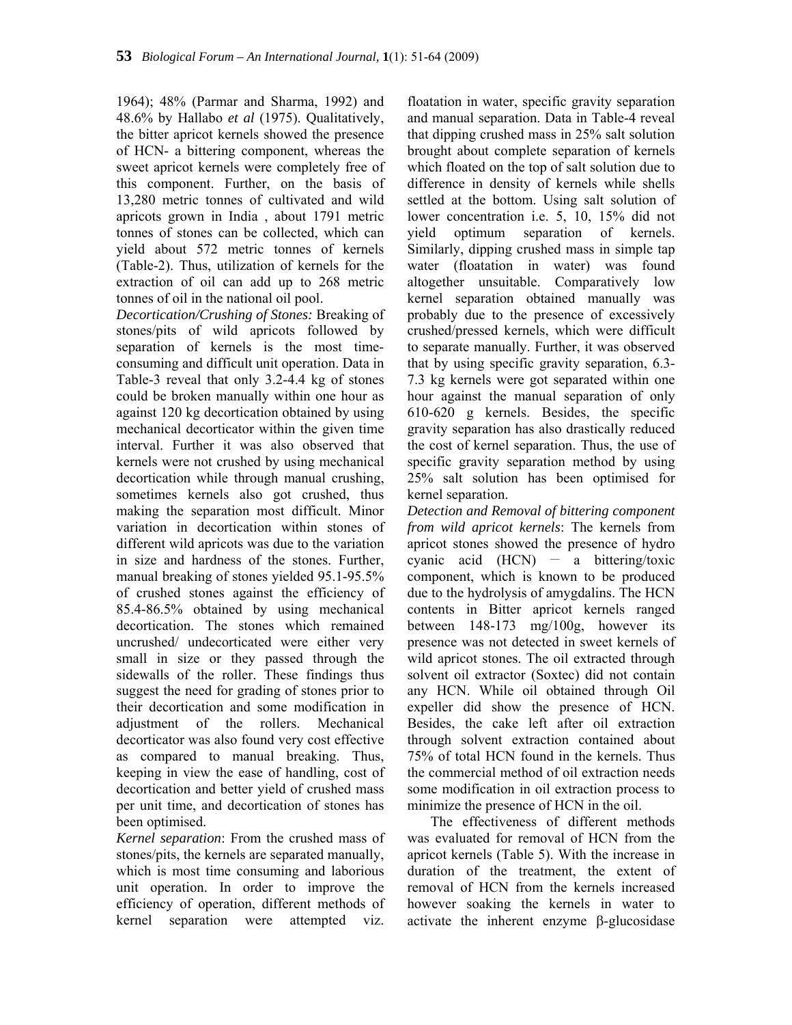1964); 48% (Parmar and Sharma, 1992) and 48.6% by Hallabo *et al* (1975). Qualitatively, the bitter apricot kernels showed the presence of HCN- a bittering component, whereas the sweet apricot kernels were completely free of this component. Further, on the basis of 13,280 metric tonnes of cultivated and wild apricots grown in India , about 1791 metric tonnes of stones can be collected, which can yield about 572 metric tonnes of kernels (Table-2). Thus, utilization of kernels for the extraction of oil can add up to 268 metric tonnes of oil in the national oil pool.

*Decortication/Crushing of Stones:* Breaking of stones/pits of wild apricots followed by separation of kernels is the most timeconsuming and difficult unit operation. Data in Table-3 reveal that only 3.2-4.4 kg of stones could be broken manually within one hour as against 120 kg decortication obtained by using mechanical decorticator within the given time interval. Further it was also observed that kernels were not crushed by using mechanical decortication while through manual crushing, sometimes kernels also got crushed, thus making the separation most difficult. Minor variation in decortication within stones of different wild apricots was due to the variation in size and hardness of the stones. Further, manual breaking of stones yielded 95.1-95.5% of crushed stones against the efficiency of 85.4-86.5% obtained by using mechanical decortication. The stones which remained uncrushed/ undecorticated were either very small in size or they passed through the sidewalls of the roller. These findings thus suggest the need for grading of stones prior to their decortication and some modification in adjustment of the rollers. Mechanical decorticator was also found very cost effective as compared to manual breaking. Thus, keeping in view the ease of handling, cost of decortication and better yield of crushed mass per unit time, and decortication of stones has been optimised.

*Kernel separation*: From the crushed mass of stones/pits, the kernels are separated manually, which is most time consuming and laborious unit operation. In order to improve the efficiency of operation, different methods of kernel separation were attempted viz.

floatation in water, specific gravity separation and manual separation. Data in Table-4 reveal that dipping crushed mass in 25% salt solution brought about complete separation of kernels which floated on the top of salt solution due to difference in density of kernels while shells settled at the bottom. Using salt solution of lower concentration i.e. 5, 10, 15% did not yield optimum separation of kernels. Similarly, dipping crushed mass in simple tap water (floatation in water) was found altogether unsuitable. Comparatively low kernel separation obtained manually was probably due to the presence of excessively crushed/pressed kernels, which were difficult to separate manually. Further, it was observed that by using specific gravity separation, 6.3- 7.3 kg kernels were got separated within one hour against the manual separation of only 610-620 g kernels. Besides, the specific gravity separation has also drastically reduced the cost of kernel separation. Thus, the use of specific gravity separation method by using 25% salt solution has been optimised for kernel separation.

*Detection and Removal of bittering component from wild apricot kernels*: The kernels from apricot stones showed the presence of hydro cyanic acid  $(HCN)$  – a bittering/toxic component, which is known to be produced due to the hydrolysis of amygdalins. The HCN contents in Bitter apricot kernels ranged between 148-173 mg/100g, however its presence was not detected in sweet kernels of wild apricot stones. The oil extracted through solvent oil extractor (Soxtec) did not contain any HCN. While oil obtained through Oil expeller did show the presence of HCN. Besides, the cake left after oil extraction through solvent extraction contained about 75% of total HCN found in the kernels. Thus the commercial method of oil extraction needs some modification in oil extraction process to minimize the presence of HCN in the oil.

The effectiveness of different methods was evaluated for removal of HCN from the apricot kernels (Table 5). With the increase in duration of the treatment, the extent of removal of HCN from the kernels increased however soaking the kernels in water to activate the inherent enzyme  $\beta$ -glucosidase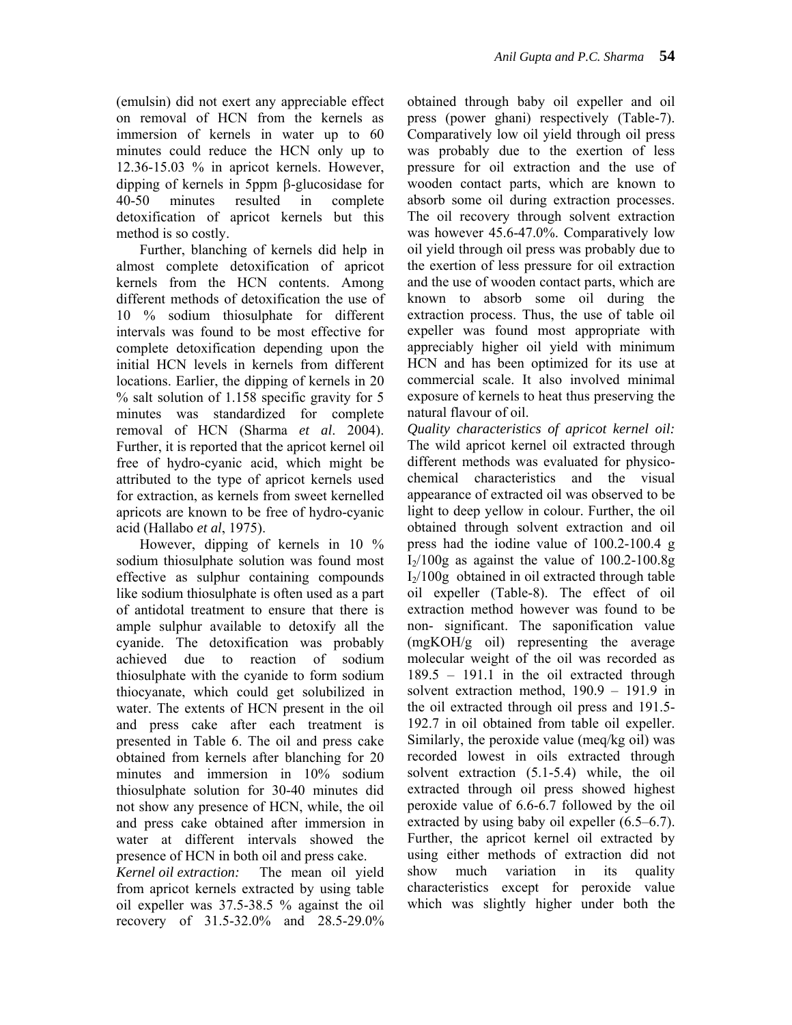(emulsin) did not exert any appreciable effect on removal of HCN from the kernels as immersion of kernels in water up to 60 minutes could reduce the HCN only up to 12.36-15.03 % in apricot kernels. However, dipping of kernels in 5ppm  $\beta$ -glucosidase for 40-50 minutes resulted in complete detoxification of apricot kernels but this method is so costly.

Further, blanching of kernels did help in almost complete detoxification of apricot kernels from the HCN contents. Among different methods of detoxification the use of 10 % sodium thiosulphate for different intervals was found to be most effective for complete detoxification depending upon the initial HCN levels in kernels from different locations. Earlier, the dipping of kernels in 20 % salt solution of 1.158 specific gravity for 5 minutes was standardized for complete removal of HCN (Sharma *et al*. 2004). Further, it is reported that the apricot kernel oil free of hydro-cyanic acid, which might be attributed to the type of apricot kernels used for extraction, as kernels from sweet kernelled apricots are known to be free of hydro-cyanic acid (Hallabo *et al*, 1975).

However, dipping of kernels in 10 % sodium thiosulphate solution was found most effective as sulphur containing compounds like sodium thiosulphate is often used as a part of antidotal treatment to ensure that there is ample sulphur available to detoxify all the cyanide. The detoxification was probably achieved due to reaction of sodium thiosulphate with the cyanide to form sodium thiocyanate, which could get solubilized in water. The extents of HCN present in the oil and press cake after each treatment is presented in Table 6. The oil and press cake obtained from kernels after blanching for 20 minutes and immersion in 10% sodium thiosulphate solution for 30-40 minutes did not show any presence of HCN, while, the oil and press cake obtained after immersion in water at different intervals showed the presence of HCN in both oil and press cake.

*Kernel oil extraction:* The mean oil yield from apricot kernels extracted by using table oil expeller was 37.5-38.5 % against the oil recovery of 31.5-32.0% and 28.5-29.0% obtained through baby oil expeller and oil press (power ghani) respectively (Table-7). Comparatively low oil yield through oil press was probably due to the exertion of less pressure for oil extraction and the use of wooden contact parts, which are known to absorb some oil during extraction processes. The oil recovery through solvent extraction was however 45.6-47.0%. Comparatively low oil yield through oil press was probably due to the exertion of less pressure for oil extraction and the use of wooden contact parts, which are known to absorb some oil during the extraction process. Thus, the use of table oil expeller was found most appropriate with appreciably higher oil yield with minimum HCN and has been optimized for its use at commercial scale. It also involved minimal exposure of kernels to heat thus preserving the natural flavour of oil.

*Quality characteristics of apricot kernel oil:* The wild apricot kernel oil extracted through different methods was evaluated for physicochemical characteristics and the visual appearance of extracted oil was observed to be light to deep yellow in colour. Further, the oil obtained through solvent extraction and oil press had the iodine value of 100.2-100.4 g  $I_2/100g$  as against the value of 100.2-100.8g  $I_2/100g$  obtained in oil extracted through table oil expeller (Table-8). The effect of oil extraction method however was found to be non- significant. The saponification value (mgKOH/g oil) representing the average molecular weight of the oil was recorded as 189.5 – 191.1 in the oil extracted through solvent extraction method, 190.9 – 191.9 in the oil extracted through oil press and 191.5- 192.7 in oil obtained from table oil expeller. Similarly, the peroxide value (meq/kg oil) was recorded lowest in oils extracted through solvent extraction (5.1-5.4) while, the oil extracted through oil press showed highest peroxide value of 6.6-6.7 followed by the oil extracted by using baby oil expeller (6.5–6.7). Further, the apricot kernel oil extracted by using either methods of extraction did not show much variation in its quality characteristics except for peroxide value which was slightly higher under both the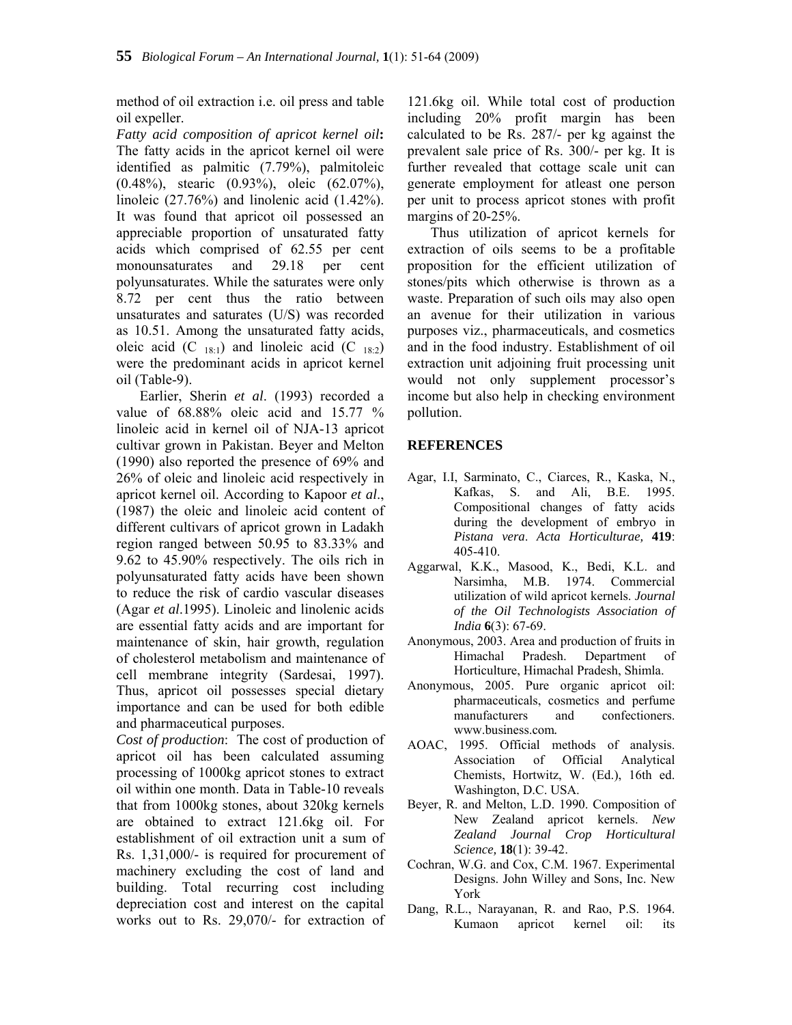method of oil extraction i.e. oil press and table oil expeller.

*Fatty acid composition of apricot kernel oil***:** The fatty acids in the apricot kernel oil were identified as palmitic (7.79%), palmitoleic (0.48%), stearic (0.93%), oleic (62.07%), linoleic (27.76%) and linolenic acid (1.42%). It was found that apricot oil possessed an appreciable proportion of unsaturated fatty acids which comprised of 62.55 per cent monounsaturates and 29.18 per cent polyunsaturates. While the saturates were only 8.72 per cent thus the ratio between unsaturates and saturates (U/S) was recorded as 10.51. Among the unsaturated fatty acids, oleic acid (C  $_{18:1}$ ) and linoleic acid (C  $_{18:2}$ ) were the predominant acids in apricot kernel oil (Table-9).

Earlier, Sherin *et al*. (1993) recorded a value of 68.88% oleic acid and 15.77 % linoleic acid in kernel oil of NJA-13 apricot cultivar grown in Pakistan. Beyer and Melton (1990) also reported the presence of 69% and 26% of oleic and linoleic acid respectively in apricot kernel oil. According to Kapoor *et al*., (1987) the oleic and linoleic acid content of different cultivars of apricot grown in Ladakh region ranged between 50.95 to 83.33% and 9.62 to 45.90% respectively. The oils rich in polyunsaturated fatty acids have been shown to reduce the risk of cardio vascular diseases (Agar *et al*.1995). Linoleic and linolenic acids are essential fatty acids and are important for maintenance of skin, hair growth, regulation of cholesterol metabolism and maintenance of cell membrane integrity (Sardesai, 1997). Thus, apricot oil possesses special dietary importance and can be used for both edible and pharmaceutical purposes.

*Cost of production*: The cost of production of apricot oil has been calculated assuming processing of 1000kg apricot stones to extract oil within one month. Data in Table-10 reveals that from 1000kg stones, about 320kg kernels are obtained to extract 121.6kg oil. For establishment of oil extraction unit a sum of Rs. 1,31,000/- is required for procurement of machinery excluding the cost of land and building. Total recurring cost including depreciation cost and interest on the capital works out to Rs. 29,070/- for extraction of

121.6kg oil. While total cost of production including 20% profit margin has been calculated to be Rs. 287/- per kg against the prevalent sale price of Rs. 300/- per kg. It is further revealed that cottage scale unit can generate employment for atleast one person per unit to process apricot stones with profit margins of 20-25%.

Thus utilization of apricot kernels for extraction of oils seems to be a profitable proposition for the efficient utilization of stones/pits which otherwise is thrown as a waste. Preparation of such oils may also open an avenue for their utilization in various purposes viz., pharmaceuticals, and cosmetics and in the food industry. Establishment of oil extraction unit adjoining fruit processing unit would not only supplement processor's income but also help in checking environment pollution.

### **REFERENCES**

- Agar, I.I, Sarminato, C., Ciarces, R., Kaska, N., Kafkas, S. and Ali, B.E. 1995. Compositional changes of fatty acids during the development of embryo in *Pistana vera*. *Acta Horticulturae,* **419**: 405-410.
- Aggarwal, K.K., Masood, K., Bedi, K.L. and Narsimha, M.B. 1974. Commercial utilization of wild apricot kernels. *Journal of the Oil Technologists Association of India* **6**(3): 67-69.
- Anonymous, 2003. Area and production of fruits in Himachal Pradesh. Department of Horticulture, Himachal Pradesh, Shimla.
- Anonymous, 2005. Pure organic apricot oil: pharmaceuticals, cosmetics and perfume manufacturers and confectioners. www.business.com*.*
- AOAC, 1995. Official methods of analysis. Association of Official Analytical Chemists, Hortwitz, W. (Ed.), 16th ed. Washington, D.C. USA.
- Beyer, R. and Melton, L.D. 1990. Composition of New Zealand apricot kernels. *New Zealand Journal Crop Horticultural Science,* **18**(1): 39-42.
- Cochran, W.G. and Cox, C.M. 1967. Experimental Designs. John Willey and Sons, Inc. New York
- Dang, R.L., Narayanan, R. and Rao, P.S. 1964. Kumaon apricot kernel oil: its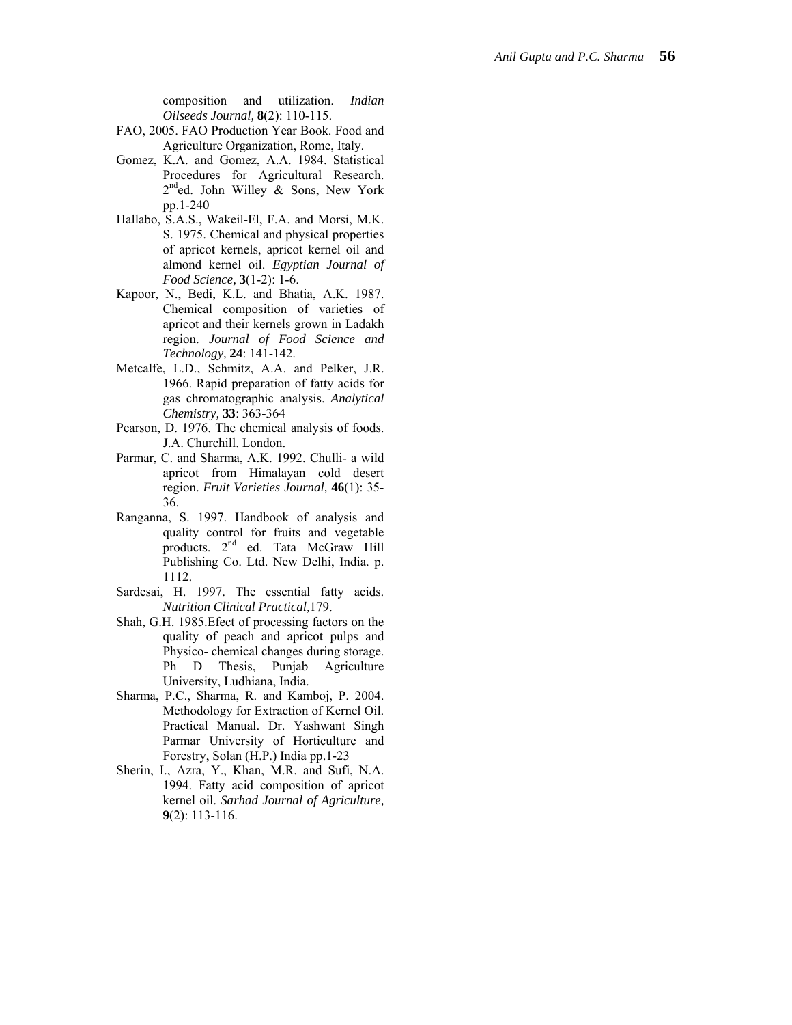composition and utilization. *Indian Oilseeds Journal,* **8**(2): 110-115.

- FAO, 2005. FAO Production Year Book. Food and Agriculture Organization, Rome, Italy.
- Gomez, K.A. and Gomez, A.A. 1984. Statistical Procedures for Agricultural Research.  $2^{nd}$ ed. John Willey & Sons, New York pp.1-240
- Hallabo, S.A.S., Wakeil-El, F.A. and Morsi, M.K. S. 1975. Chemical and physical properties of apricot kernels, apricot kernel oil and almond kernel oil. *Egyptian Journal of Food Science,* **3**(1-2): 1-6.
- Kapoor, N., Bedi, K.L. and Bhatia, A.K. 1987. Chemical composition of varieties of apricot and their kernels grown in Ladakh region. *Journal of Food Science and Technology,* **24**: 141-142.
- Metcalfe, L.D., Schmitz, A.A. and Pelker, J.R. 1966. Rapid preparation of fatty acids for gas chromatographic analysis. *Analytical Chemistry,* **33**: 363-364
- Pearson, D. 1976. The chemical analysis of foods. J.A. Churchill. London.
- Parmar, C. and Sharma, A.K. 1992. Chulli- a wild apricot from Himalayan cold desert region. *Fruit Varieties Journal,* **46**(1): 35- 36.
- Ranganna, S. 1997. Handbook of analysis and quality control for fruits and vegetable products. 2<sup>nd</sup> ed. Tata McGraw Hill Publishing Co. Ltd. New Delhi, India. p. 1112.
- Sardesai, H. 1997. The essential fatty acids. *Nutrition Clinical Practical,*179.
- Shah, G.H. 1985.Efect of processing factors on the quality of peach and apricot pulps and Physico- chemical changes during storage. Ph D Thesis, Punjab Agriculture University, Ludhiana, India.
- Sharma, P.C., Sharma, R. and Kamboj, P. 2004. Methodology for Extraction of Kernel Oil. Practical Manual. Dr. Yashwant Singh Parmar University of Horticulture and Forestry, Solan (H.P.) India pp.1-23
- Sherin, I., Azra, Y., Khan, M.R. and Sufi, N.A. 1994. Fatty acid composition of apricot kernel oil. *Sarhad Journal of Agriculture,* **9**(2): 113-116.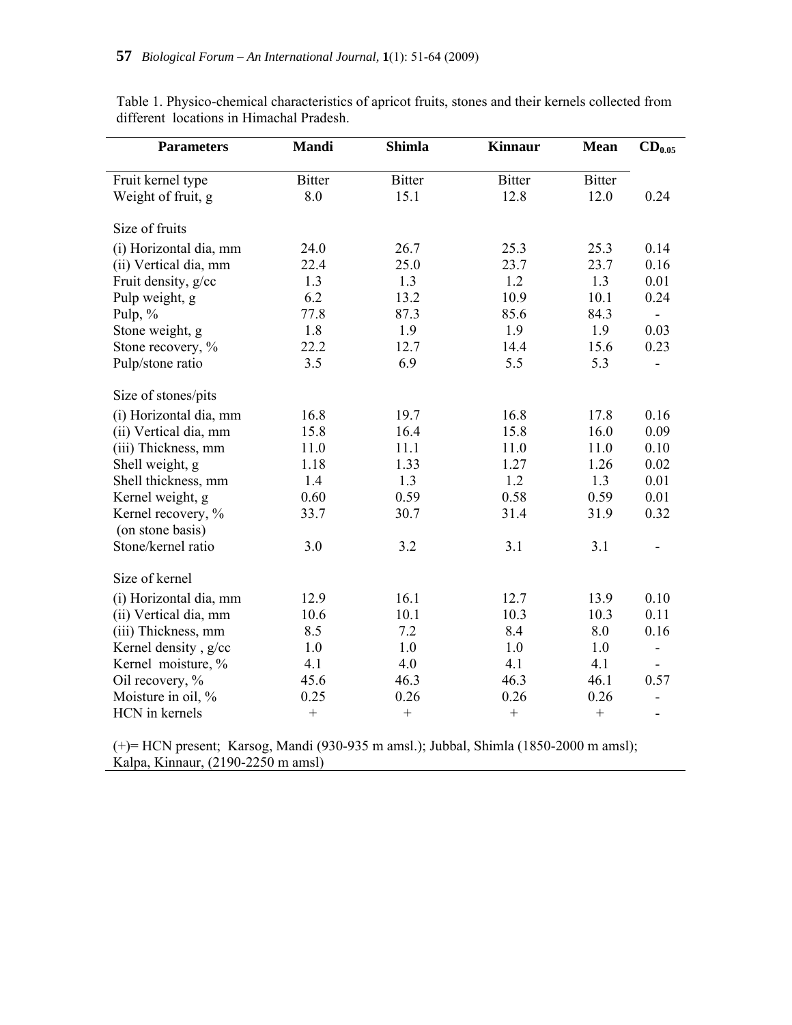| <b>Parameters</b>                      | <b>Mandi</b>     | <b>Shimla</b> | <b>Kinnaur</b> | <b>Mean</b>   | $CD_{0.05}$              |  |
|----------------------------------------|------------------|---------------|----------------|---------------|--------------------------|--|
| Fruit kernel type                      | <b>Bitter</b>    | <b>Bitter</b> | <b>Bitter</b>  | <b>Bitter</b> |                          |  |
| Weight of fruit, g                     | 8.0              | 15.1          | 12.8           | 12.0          | 0.24                     |  |
| Size of fruits                         |                  |               |                |               |                          |  |
| (i) Horizontal dia, mm                 | 24.0             | 26.7          | 25.3           | 25.3          | 0.14                     |  |
| (ii) Vertical dia, mm                  | 22.4             | 25.0          | 23.7           | 23.7          | 0.16                     |  |
| Fruit density, g/cc                    | 1.3              | 1.3           | 1.2            | 1.3           | 0.01                     |  |
| Pulp weight, g                         | 6.2              | 13.2          | 10.9           | 10.1          | 0.24                     |  |
| Pulp, %                                | 77.8             | 87.3          | 85.6           | 84.3          |                          |  |
| Stone weight, g                        | 1.8              | 1.9           | 1.9            | 1.9           | 0.03                     |  |
| Stone recovery, %                      | 22.2             | 12.7          | 14.4           | 15.6          | 0.23                     |  |
| Pulp/stone ratio                       | 3.5              | 6.9           | 5.5            | 5.3           |                          |  |
| Size of stones/pits                    |                  |               |                |               |                          |  |
| (i) Horizontal dia, mm                 | 16.8             | 19.7          | 16.8           | 17.8          | 0.16                     |  |
| (ii) Vertical dia, mm                  | 15.8             | 16.4          | 15.8           | 16.0          | 0.09                     |  |
| (iii) Thickness, mm                    | 11.0             | 11.1          | 11.0           | 11.0          | 0.10                     |  |
| Shell weight, g                        | 1.18             | 1.33          | 1.27           | 1.26          | 0.02                     |  |
| Shell thickness, mm                    | 1.4              | 1.3           | 1.2            | 1.3           | 0.01                     |  |
| Kernel weight, g                       | 0.60             | 0.59          | 0.58           | 0.59          | 0.01                     |  |
| Kernel recovery, %<br>(on stone basis) | 33.7             | 30.7          | 31.4           | 31.9          | 0.32                     |  |
| Stone/kernel ratio                     | 3.0              | 3.2           | 3.1            | 3.1           |                          |  |
| Size of kernel                         |                  |               |                |               |                          |  |
| (i) Horizontal dia, mm                 | 12.9             | 16.1          | 12.7           | 13.9          | 0.10                     |  |
| (ii) Vertical dia, mm                  | 10.6             | 10.1          | 10.3           | 10.3          | 0.11                     |  |
| (iii) Thickness, mm                    | 8.5              | 7.2           | 8.4            | 8.0           | 0.16                     |  |
| Kernel density, g/cc                   | 1.0              | 1.0           | 1.0            | 1.0           | $\overline{\phantom{0}}$ |  |
| Kernel moisture, %                     | 4.1              | 4.0           | 4.1            | 4.1           |                          |  |
| Oil recovery, %                        | 45.6             | 46.3          | 46.3           | 46.1          | 0.57                     |  |
| Moisture in oil, %                     | 0.25             | 0.26          | 0.26           | 0.26          |                          |  |
| HCN in kernels                         | $\boldsymbol{+}$ | $+$           | $+$            |               | $\overline{\phantom{a}}$ |  |

Table 1. Physico-chemical characteristics of apricot fruits, stones and their kernels collected from different locations in Himachal Pradesh.

(+)= HCN present; Karsog, Mandi (930-935 m amsl.); Jubbal, Shimla (1850-2000 m amsl); Kalpa, Kinnaur, (2190-2250 m amsl)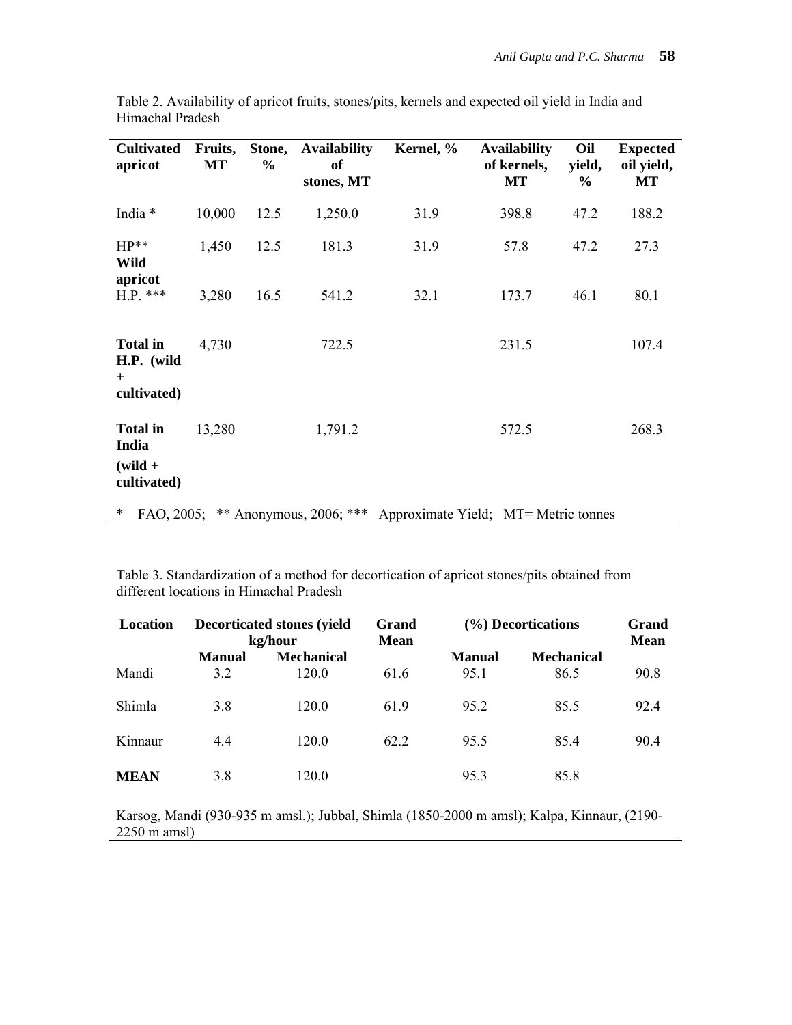| <b>Cultivated</b><br>apricot                         | Fruits,<br><b>MT</b> | Stone,<br>$\frac{6}{6}$ | <b>Availability</b><br><b>of</b><br>stones, MT | Kernel, %                                                               | <b>Availability</b><br>of kernels,<br><b>MT</b> | Oil<br>yield,<br>$\%$ | <b>Expected</b><br>oil yield,<br>МT |
|------------------------------------------------------|----------------------|-------------------------|------------------------------------------------|-------------------------------------------------------------------------|-------------------------------------------------|-----------------------|-------------------------------------|
| India *                                              | 10,000               | 12.5                    | 1,250.0                                        | 31.9                                                                    | 398.8                                           | 47.2                  | 188.2                               |
| $HP**$<br>Wild<br>apricot                            | 1,450                | 12.5                    | 181.3                                          | 31.9                                                                    | 57.8                                            | 47.2                  | 27.3                                |
| $H.P.$ ***                                           | 3,280                | 16.5                    | 541.2                                          | 32.1                                                                    | 173.7                                           | 46.1                  | 80.1                                |
| <b>Total in</b><br>H.P. (wild<br>$+$<br>cultivated)  | 4,730                |                         | 722.5                                          |                                                                         | 231.5                                           |                       | 107.4                               |
| <b>Total in</b><br>India<br>$(wild +$<br>cultivated) | 13,280               |                         | 1,791.2                                        |                                                                         | 572.5                                           |                       | 268.3                               |
| ∗                                                    |                      |                         |                                                | FAO, 2005; ** Anonymous, 2006; *** Approximate Yield; MT= Metric tonnes |                                                 |                       |                                     |

Table 2. Availability of apricot fruits, stones/pits, kernels and expected oil yield in India and Himachal Pradesh

Table 3. Standardization of a method for decortication of apricot stones/pits obtained from different locations in Himachal Pradesh

l,

| Location    | <b>Decorticated stones (yield)</b><br>kg/hour |                   | Grand<br><b>Mean</b> | (%) Decortications | Grand<br>Mean     |      |
|-------------|-----------------------------------------------|-------------------|----------------------|--------------------|-------------------|------|
|             | <b>Manual</b>                                 | <b>Mechanical</b> |                      | Manual             | <b>Mechanical</b> |      |
| Mandi       | 3.2                                           | 120.0             | 61.6                 | 95.1               | 86.5              | 90.8 |
| Shimla      | 3.8                                           | 120.0             | 61.9                 | 95.2               | 85.5              | 92.4 |
| Kinnaur     | 4.4                                           | 120.0             | 62.2                 | 95.5               | 85.4              | 90.4 |
| <b>MEAN</b> | 3.8                                           | 120.0             |                      | 95.3               | 85.8              |      |

Karsog, Mandi (930-935 m amsl.); Jubbal, Shimla (1850-2000 m amsl); Kalpa, Kinnaur, (2190- 2250 m amsl)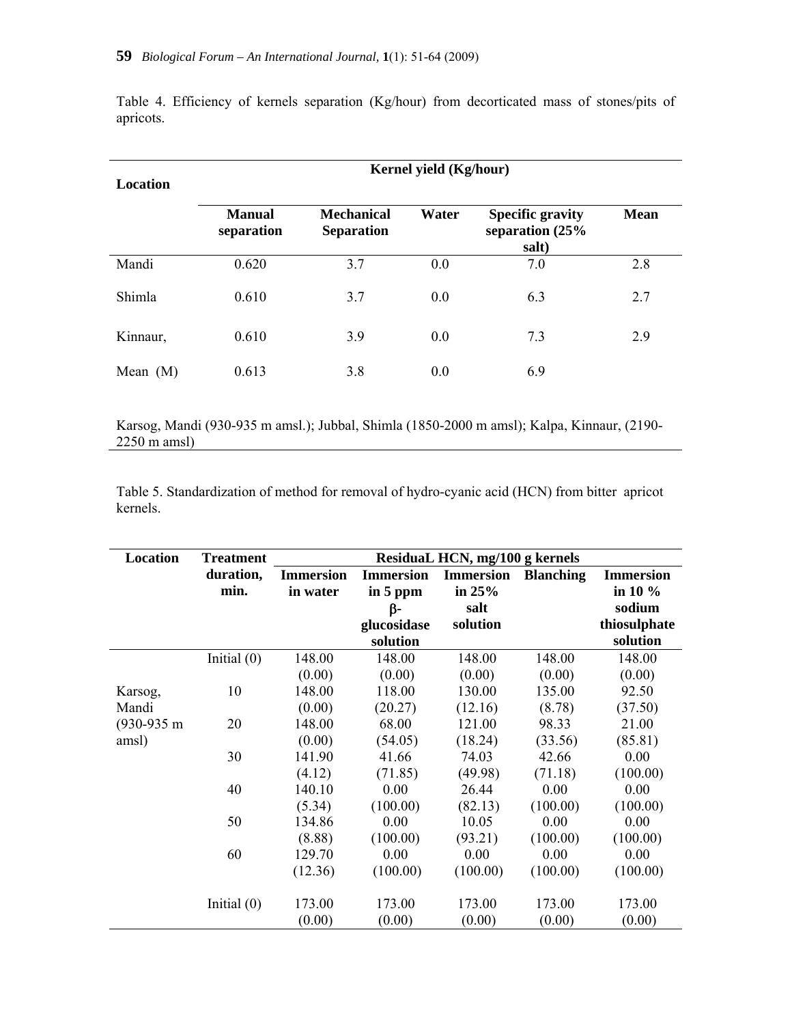| Location   | Kernel yield (Kg/hour)      |                                        |       |                                                     |             |  |  |  |  |  |
|------------|-----------------------------|----------------------------------------|-------|-----------------------------------------------------|-------------|--|--|--|--|--|
|            | <b>Manual</b><br>separation | <b>Mechanical</b><br><b>Separation</b> | Water | <b>Specific gravity</b><br>separation (25%<br>salt) | <b>Mean</b> |  |  |  |  |  |
| Mandi      | 0.620                       | 3.7                                    | 0.0   | 7.0                                                 | 2.8         |  |  |  |  |  |
| Shimla     | 0.610                       | 3.7                                    | 0.0   | 6.3                                                 | 2.7         |  |  |  |  |  |
| Kinnaur,   | 0.610                       | 3.9                                    | 0.0   | 7.3                                                 | 2.9         |  |  |  |  |  |
| Mean $(M)$ | 0.613                       | 3.8                                    | 0.0   | 6.9                                                 |             |  |  |  |  |  |

Table 4. Efficiency of kernels separation (Kg/hour) from decorticated mass of stones/pits of apricots.

Karsog, Mandi (930-935 m amsl.); Jubbal, Shimla (1850-2000 m amsl); Kalpa, Kinnaur, (2190- 2250 m amsl)

Table 5. Standardization of method for removal of hydro-cyanic acid (HCN) from bitter apricot kernels.

| Location      | <b>Treatment</b> | Residual HCN, mg/100 g kernels |                  |                  |                  |                  |  |  |  |
|---------------|------------------|--------------------------------|------------------|------------------|------------------|------------------|--|--|--|
|               | duration,        | <b>Immersion</b>               | <b>Immersion</b> | <b>Immersion</b> | <b>Blanching</b> | <b>Immersion</b> |  |  |  |
|               | min.             | in water                       | in 5 ppm         | in $25%$         |                  | in 10 %          |  |  |  |
|               |                  |                                | β-               | salt             |                  | sodium           |  |  |  |
|               |                  |                                | glucosidase      | solution         |                  | thiosulphate     |  |  |  |
|               |                  |                                | solution         |                  |                  | solution         |  |  |  |
|               | Initial $(0)$    | 148.00                         | 148.00           | 148.00           | 148.00           | 148.00           |  |  |  |
|               |                  | (0.00)                         | (0.00)           | (0.00)           | (0.00)           | (0.00)           |  |  |  |
| Karsog,       | 10               | 148.00                         | 118.00           | 130.00           | 135.00           | 92.50            |  |  |  |
| Mandi         |                  | (0.00)                         | (20.27)          | (12.16)          | (8.78)           | (37.50)          |  |  |  |
| $(930-935)$ m | 20               | 148.00                         | 68.00            | 121.00           | 98.33            | 21.00            |  |  |  |
| amsl)         |                  | (0.00)                         | (54.05)          | (18.24)          | (33.56)          | (85.81)          |  |  |  |
|               | 30               | 141.90                         | 41.66            | 74.03            | 42.66            | 0.00             |  |  |  |
|               |                  | (4.12)                         | (71.85)          | (49.98)          | (71.18)          | (100.00)         |  |  |  |
|               | 40               | 140.10                         | 0.00             | 26.44            | 0.00             | 0.00             |  |  |  |
|               |                  | (5.34)                         | (100.00)         | (82.13)          | (100.00)         | (100.00)         |  |  |  |
|               | 50               | 134.86                         | 0.00             | 10.05            | 0.00             | 0.00             |  |  |  |
|               |                  | (8.88)                         | (100.00)         | (93.21)          | (100.00)         | (100.00)         |  |  |  |
|               | 60               | 129.70                         | 0.00             | 0.00             | 0.00             | 0.00             |  |  |  |
|               |                  | (12.36)                        | (100.00)         | (100.00)         | (100.00)         | (100.00)         |  |  |  |
|               | Initial $(0)$    | 173.00                         | 173.00           | 173.00           | 173.00           | 173.00           |  |  |  |
|               |                  | (0.00)                         | (0.00)           | (0.00)           | (0.00)           | (0.00)           |  |  |  |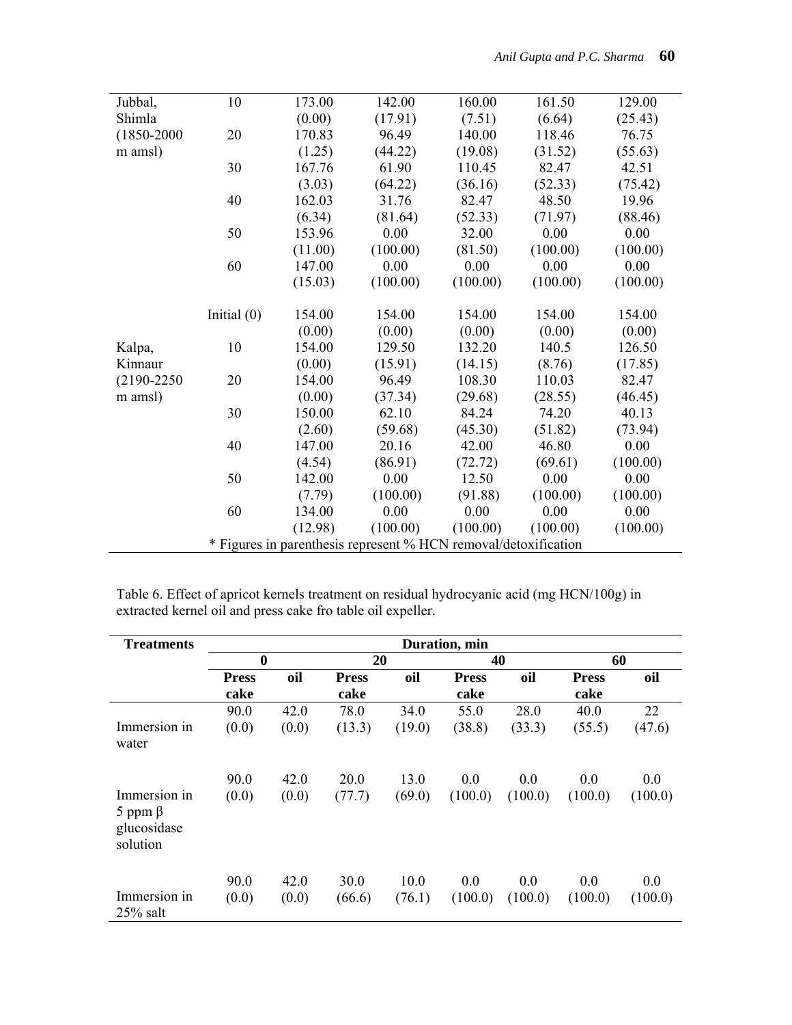| Jubbal,         | 10            | 173.00  | 142.00                                                          | 160.00   | 161.50   | 129.00   |
|-----------------|---------------|---------|-----------------------------------------------------------------|----------|----------|----------|
| Shimla          |               | (0.00)  | (17.91)                                                         | (7.51)   | (6.64)   | (25.43)  |
| $(1850 - 2000)$ | 20            | 170.83  | 96.49                                                           | 140.00   | 118.46   | 76.75    |
| m amsl)         |               | (1.25)  | (44.22)                                                         | (19.08)  | (31.52)  | (55.63)  |
|                 | 30            | 167.76  | 61.90                                                           | 110.45   | 82.47    | 42.51    |
|                 |               | (3.03)  | (64.22)                                                         | (36.16)  | (52.33)  | (75.42)  |
|                 | 40            | 162.03  | 31.76                                                           | 82.47    | 48.50    | 19.96    |
|                 |               | (6.34)  | (81.64)                                                         | (52.33)  | (71.97)  | (88.46)  |
|                 | 50            | 153.96  | 0.00                                                            | 32.00    | 0.00     | 0.00     |
|                 |               | (11.00) | (100.00)                                                        | (81.50)  | (100.00) | (100.00) |
|                 | 60            | 147.00  | 0.00                                                            | 0.00     | 0.00     | 0.00     |
|                 |               | (15.03) | (100.00)                                                        | (100.00) | (100.00) | (100.00) |
|                 | Initial $(0)$ | 154.00  | 154.00                                                          | 154.00   | 154.00   | 154.00   |
|                 |               | (0.00)  | (0.00)                                                          | (0.00)   | (0.00)   | (0.00)   |
| Kalpa,          | 10            | 154.00  | 129.50                                                          | 132.20   | 140.5    | 126.50   |
| Kinnaur         |               | (0.00)  | (15.91)                                                         | (14.15)  | (8.76)   | (17.85)  |
| $(2190 - 2250)$ | 20            | 154.00  | 96.49                                                           | 108.30   | 110.03   | 82.47    |
| m amsl)         |               | (0.00)  | (37.34)                                                         | (29.68)  | (28.55)  | (46.45)  |
|                 | 30            | 150.00  | 62.10                                                           | 84.24    | 74.20    | 40.13    |
|                 |               | (2.60)  | (59.68)                                                         | (45.30)  | (51.82)  | (73.94)  |
|                 | 40            | 147.00  | 20.16                                                           | 42.00    | 46.80    | 0.00     |
|                 |               | (4.54)  | (86.91)                                                         | (72.72)  | (69.61)  | (100.00) |
|                 | 50            | 142.00  | 0.00                                                            | 12.50    | 0.00     | 0.00     |
|                 |               | (7.79)  | (100.00)                                                        | (91.88)  | (100.00) | (100.00) |
|                 | 60            | 134.00  | 0.00                                                            | 0.00     | 0.00     | 0.00     |
|                 |               | (12.98) | (100.00)                                                        | (100.00) | (100.00) | (100.00) |
|                 |               |         | * Figures in parenthesis represent % HCN removal/detoxification |          |          |          |

Table 6. Effect of apricot kernels treatment on residual hydrocyanic acid (mg HCN/100g) in extracted kernel oil and press cake fro table oil expeller.

| <b>Treatments</b>                                        |                      | Duration, min |                      |        |                      |         |                      |         |
|----------------------------------------------------------|----------------------|---------------|----------------------|--------|----------------------|---------|----------------------|---------|
|                                                          | $\boldsymbol{0}$     |               | 20                   |        | 40                   |         | 60                   |         |
|                                                          | <b>Press</b><br>cake | oil           | <b>Press</b><br>cake | oil    | <b>Press</b><br>cake | oil     | <b>Press</b><br>cake | oil     |
|                                                          | 90.0                 | 42.0          | 78.0                 | 34.0   | 55.0                 | 28.0    | 40.0                 | 22      |
| Immersion in<br>water                                    | (0.0)                | (0.0)         | (13.3)               | (19.0) | (38.8)               | (33.3)  | (55.5)               | (47.6)  |
|                                                          | 90.0                 | 42.0          | 20.0                 | 13.0   | 0.0                  | 0.0     | 0.0                  | 0.0     |
| Immersion in<br>5 ppm $\beta$<br>glucosidase<br>solution | (0.0)                | (0.0)         | (77.7)               | (69.0) | (100.0)              | (100.0) | (100.0)              | (100.0) |
|                                                          | 90.0                 | 42.0          | 30.0                 | 10.0   | 0.0                  | 0.0     | 0.0                  | 0.0     |
| Immersion in<br>$25\%$ salt                              | (0.0)                | (0.0)         | (66.6)               | (76.1) | (100.0)              | (100.0) | (100.0)              | (100.0) |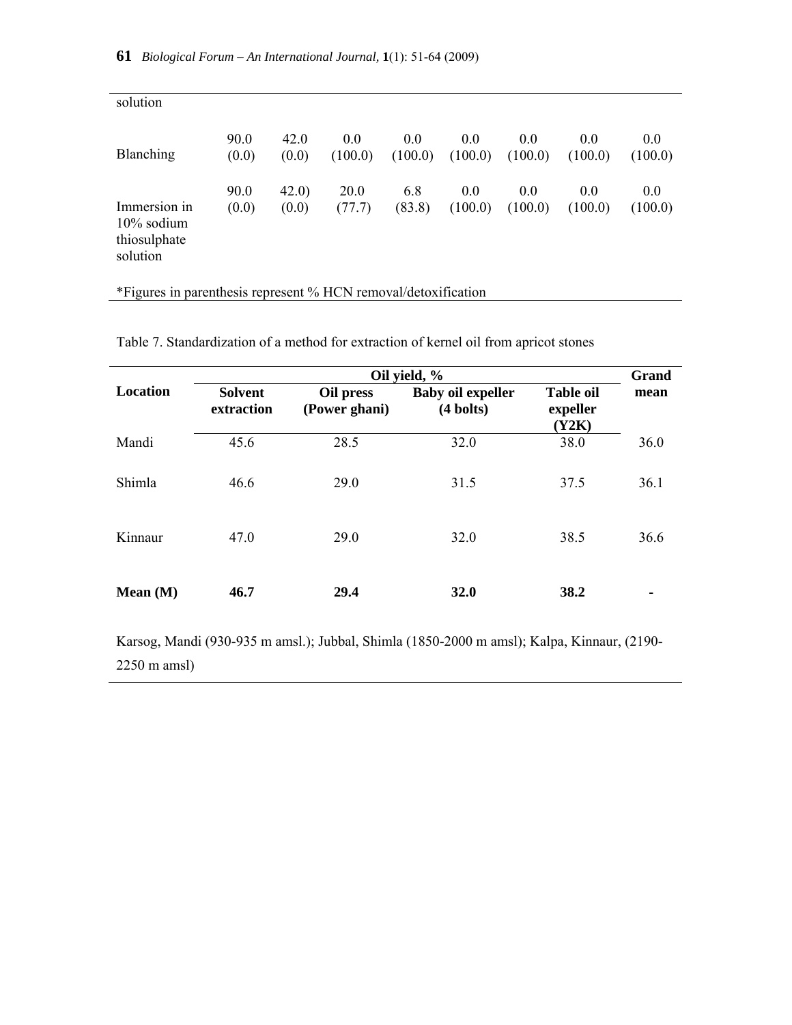| solution                                                  |               |                |                |                |                |                    |                |                |
|-----------------------------------------------------------|---------------|----------------|----------------|----------------|----------------|--------------------|----------------|----------------|
| Blanching                                                 | 90.0<br>(0.0) | 42.0<br>(0.0)  | 0.0<br>(100.0) | 0.0<br>(100.0) | 0.0<br>(100.0) | $0.0\,$<br>(100.0) | 0.0<br>(100.0) | 0.0<br>(100.0) |
| Immersion in<br>$10\%$ sodium<br>thiosulphate<br>solution | 90.0<br>(0.0) | 42.0)<br>(0.0) | 20.0<br>(77.7) | 6.8<br>(83.8)  | 0.0<br>(100.0) | $0.0\,$<br>(100.0) | 0.0<br>(100.0) | 0.0<br>(100.0) |

\*Figures in parenthesis represent % HCN removal/detoxification

|          | Oil yield, %                 |                            |                                                 |                                       |      |  |  |  |
|----------|------------------------------|----------------------------|-------------------------------------------------|---------------------------------------|------|--|--|--|
| Location | <b>Solvent</b><br>extraction | Oil press<br>(Power ghani) | <b>Baby oil expeller</b><br>$(4 \text{ bolts})$ | <b>Table oil</b><br>expeller<br>(Y2K) | mean |  |  |  |
| Mandi    | 45.6                         | 28.5                       | 32.0                                            | 38.0                                  | 36.0 |  |  |  |
| Shimla   | 46.6                         | 29.0                       | 31.5                                            | 37.5                                  | 36.1 |  |  |  |

Kinnaur 47.0 29.0 32.0 38.5 36.6

Table 7. Standardization of a method for extraction of kernel oil from apricot stones

Karsog, Mandi (930-935 m amsl.); Jubbal, Shimla (1850-2000 m amsl); Kalpa, Kinnaur, (2190- 2250 m amsl)

**Mean** (M)  $46.7$  29.4  $32.0$  38.2 -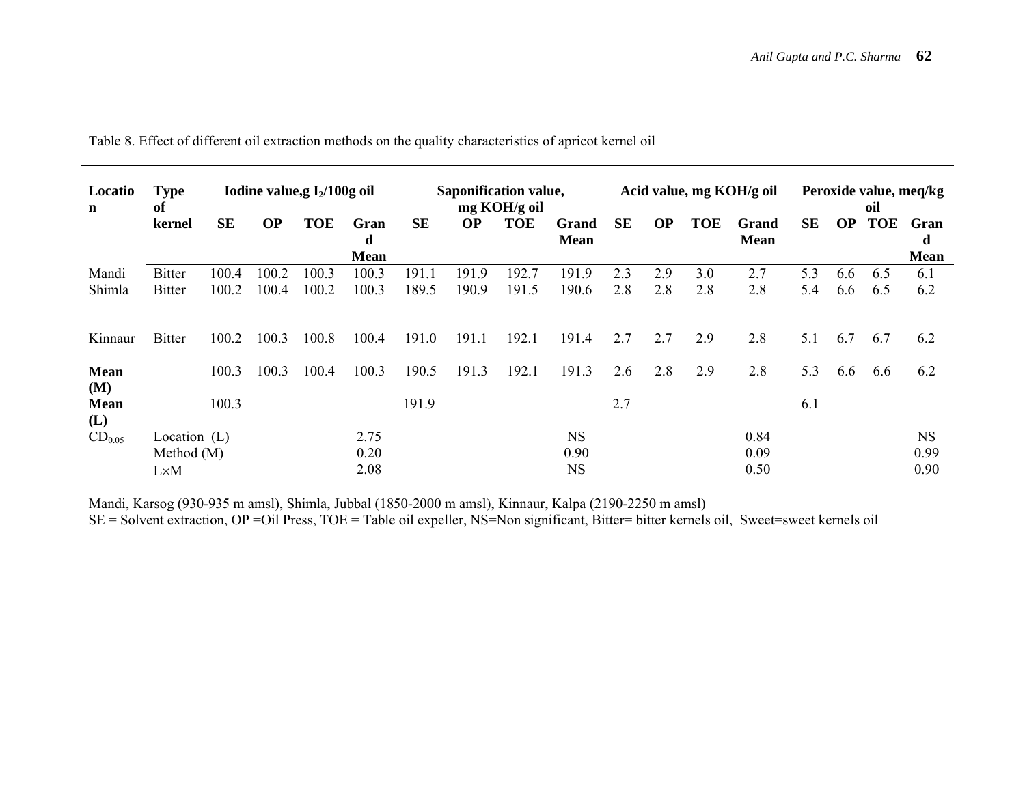| Locatio<br>$\mathbf n$ | <b>Type</b><br>of |           |           | Iodine value, $I_2/100g$ oil |                          |           |           | Saponification value,<br>mg KOH/g oil |                      |           |           |            | Acid value, mg KOH/g oil    |           |           | oil        | Peroxide value, meq/kg   |
|------------------------|-------------------|-----------|-----------|------------------------------|--------------------------|-----------|-----------|---------------------------------------|----------------------|-----------|-----------|------------|-----------------------------|-----------|-----------|------------|--------------------------|
|                        | kernel            | <b>SE</b> | <b>OP</b> | <b>TOE</b>                   | Gran<br>d<br><b>Mean</b> | <b>SE</b> | <b>OP</b> | <b>TOE</b>                            | Grand<br><b>Mean</b> | <b>SE</b> | <b>OP</b> | <b>TOE</b> | <b>Grand</b><br><b>Mean</b> | <b>SE</b> | <b>OP</b> | <b>TOE</b> | Gran<br>d<br><b>Mean</b> |
| Mandi                  | <b>Bitter</b>     | 100.4     | 100.2     | 100.3                        | 100.3                    | 191.1     | 191.9     | 192.7                                 | 191.9                | 2.3       | 2.9       | 3.0        | 2.7                         | 5.3       | 6.6       | 6.5        | 6.1                      |
| Shimla                 | <b>Bitter</b>     | 100.2     | 100.4     | 100.2                        | 100.3                    | 189.5     | 190.9     | 191.5                                 | 190.6                | 2.8       | 2.8       | 2.8        | 2.8                         | 5.4       | 6.6       | 6.5        | 6.2                      |
| Kinnaur                | <b>Bitter</b>     | 100.2     | 100.3     | 100.8                        | 100.4                    | 191.0     | 191.1     | 192.1                                 | 191.4                | 2.7       | 2.7       | 2.9        | 2.8                         | 5.1       | 6.7       | 6.7        | 6.2                      |
| <b>Mean</b><br>(M)     |                   | 100.3     | 100.3     | 100.4                        | 100.3                    | 190.5     | 191.3     | 192.1                                 | 191.3                | 2.6       | 2.8       | 2.9        | 2.8                         | 5.3       | 6.6       | 6.6        | 6.2                      |
| <b>Mean</b><br>(L)     |                   | 100.3     |           |                              |                          | 191.9     |           |                                       |                      | 2.7       |           |            |                             | 6.1       |           |            |                          |
| $CD_{0.05}$            | Location $(L)$    |           |           |                              | 2.75                     |           |           |                                       | <b>NS</b>            |           |           |            | 0.84                        |           |           |            | <b>NS</b>                |
|                        | Method $(M)$      |           |           |                              | 0.20                     |           |           |                                       | 0.90                 |           |           |            | 0.09                        |           |           |            | 0.99                     |
|                        | $L \times M$      |           |           |                              | 2.08                     |           |           |                                       | <b>NS</b>            |           |           |            | 0.50                        |           |           |            | 0.90                     |

Table 8. Effect of different oil extraction methods on the quality characteristics of apricot kernel oil

Mandi, Karsog (930-935 m amsl), Shimla, Jubbal (1850-2000 m amsl), Kinnaur, Kalpa (2190-2250 m amsl)

SE = Solvent extraction, OP =Oil Press, TOE = Table oil expeller, NS=Non significant, Bitter= bitter kernels oil, Sweet=sweet kernels oil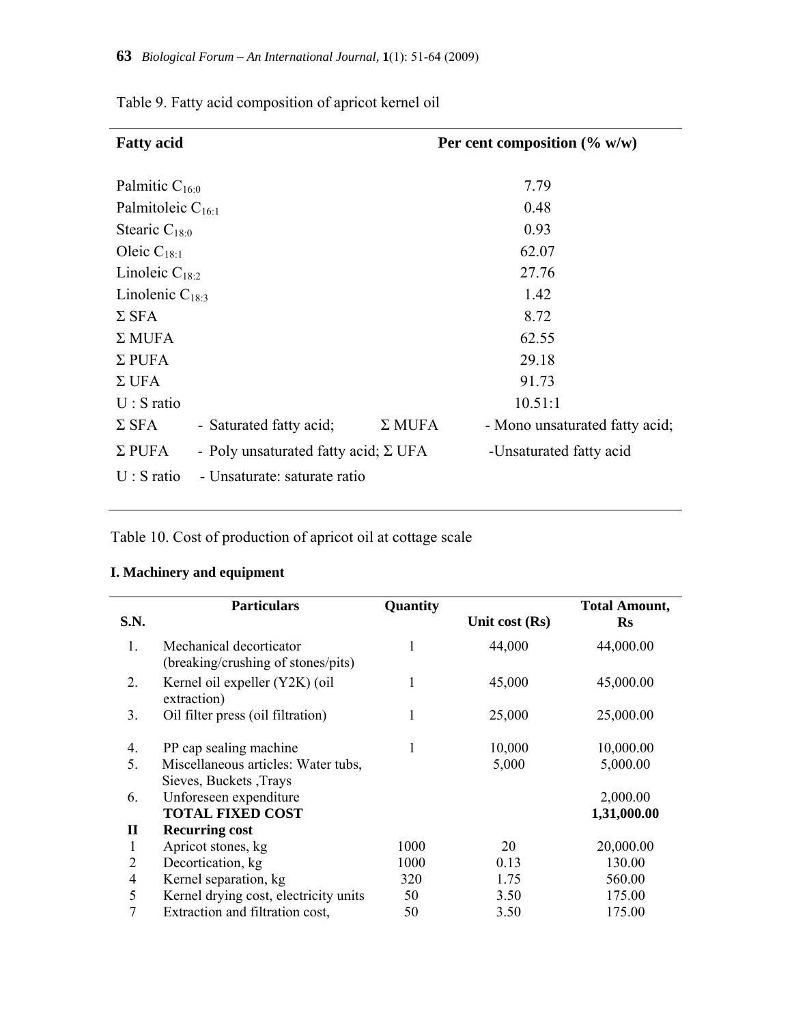| <b>Fatty acid</b>      |                                             |               | Per cent composition $(\% w/w)$ |
|------------------------|---------------------------------------------|---------------|---------------------------------|
| Palmitic $C_{16:0}$    |                                             |               | 7.79                            |
| Palmitoleic $C_{16:1}$ |                                             |               | 0.48                            |
| Stearic $C_{18:0}$     |                                             |               | 0.93                            |
| Oleic $C_{18:1}$       |                                             |               | 62.07                           |
| Linoleic $C_{18:2}$    |                                             |               | 27.76                           |
| Linolenic $C_{18:3}$   |                                             |               | 1.42                            |
| $\Sigma$ SFA           |                                             |               | 8.72                            |
| $\Sigma$ MUFA          |                                             |               | 62.55                           |
| $\Sigma$ PUFA          |                                             |               | 29.18                           |
| $\Sigma$ UFA           |                                             |               | 91.73                           |
| $U: S$ ratio           |                                             |               | 10.51:1                         |
| $\Sigma$ SFA           | - Saturated fatty acid;                     | $\Sigma$ MUFA | - Mono unsaturated fatty acid;  |
| $\Sigma$ PUFA          | - Poly unsaturated fatty acid; $\Sigma$ UFA |               | -Unsaturated fatty acid         |
| $U: S$ ratio           | - Unsaturate: saturate ratio                |               |                                 |

Table 9. Fatty acid composition of apricot kernel oil

Table 10. Cost of production of apricot oil at cottage scale

## **I. Machinery and equipment**

|             | <b>Particulars</b>                                            | Quantity |                | <b>Total Amount,</b> |
|-------------|---------------------------------------------------------------|----------|----------------|----------------------|
| S.N.        |                                                               |          | Unit cost (Rs) | $\mathbf{R}$ s       |
| $1_{-}$     | Mechanical decorticator<br>(breaking/crushing of stones/pits) | 1        | 44,000         | 44,000.00            |
| 2.          | Kernel oil expeller (Y2K) (oil<br>extraction)                 | 1        | 45,000         | 45,000.00            |
| 3.          | Oil filter press (oil filtration)                             | 1        | 25,000         | 25,000.00            |
| 4.          | PP cap sealing machine                                        | 1        | 10,000         | 10,000.00            |
| 5.          | Miscellaneous articles: Water tubs,<br>Sieves, Buckets, Trays |          | 5,000          | 5,000.00             |
| 6.          | Unforeseen expenditure                                        |          |                | 2,000.00             |
|             | <b>TOTAL FIXED COST</b>                                       |          |                | 1,31,000.00          |
| $\mathbf H$ | <b>Recurring cost</b>                                         |          |                |                      |
| 1           | Apricot stones, kg                                            | 1000     | 20             | 20,000.00            |
| 2           | Decortication, kg                                             | 1000     | 0.13           | 130.00               |
| 4           | Kernel separation, kg                                         | 320      | 1.75           | 560.00               |
| 5           | Kernel drying cost, electricity units                         | 50       | 3.50           | 175.00               |
| 7           | Extraction and filtration cost,                               | 50       | 3.50           | 175.00               |